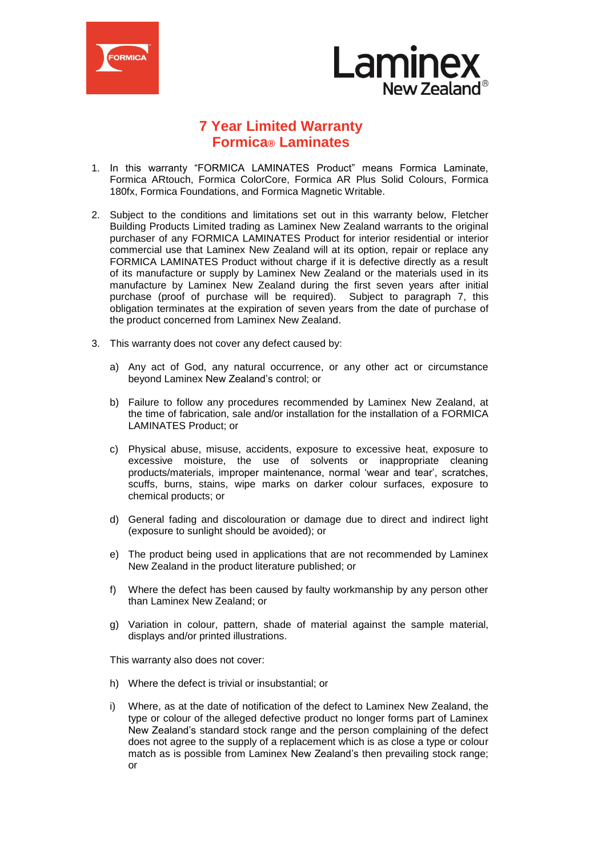



## **7 Year Limited Warranty Formica® Laminates**

- 1. In this warranty "FORMICA LAMINATES Product" means Formica Laminate, Formica ARtouch, Formica ColorCore, Formica AR Plus Solid Colours, Formica 180fx, Formica Foundations, and Formica Magnetic Writable.
- 2. Subject to the conditions and limitations set out in this warranty below, Fletcher Building Products Limited trading as Laminex New Zealand warrants to the original purchaser of any FORMICA LAMINATES Product for interior residential or interior commercial use that Laminex New Zealand will at its option, repair or replace any FORMICA LAMINATES Product without charge if it is defective directly as a result of its manufacture or supply by Laminex New Zealand or the materials used in its manufacture by Laminex New Zealand during the first seven years after initial purchase (proof of purchase will be required). Subject to paragraph 7, this obligation terminates at the expiration of seven years from the date of purchase of the product concerned from Laminex New Zealand.
- 3. This warranty does not cover any defect caused by:
	- a) Any act of God, any natural occurrence, or any other act or circumstance beyond Laminex New Zealand's control; or
	- b) Failure to follow any procedures recommended by Laminex New Zealand, at the time of fabrication, sale and/or installation for the installation of a FORMICA LAMINATES Product; or
	- c) Physical abuse, misuse, accidents, exposure to excessive heat, exposure to excessive moisture, the use of solvents or inappropriate cleaning products/materials, improper maintenance, normal 'wear and tear', scratches, scuffs, burns, stains, wipe marks on darker colour surfaces, exposure to chemical products; or
	- d) General fading and discolouration or damage due to direct and indirect light (exposure to sunlight should be avoided); or
	- e) The product being used in applications that are not recommended by Laminex New Zealand in the product literature published; or
	- f) Where the defect has been caused by faulty workmanship by any person other than Laminex New Zealand; or
	- g) Variation in colour, pattern, shade of material against the sample material, displays and/or printed illustrations.

This warranty also does not cover:

- h) Where the defect is trivial or insubstantial; or
- i) Where, as at the date of notification of the defect to Laminex New Zealand, the type or colour of the alleged defective product no longer forms part of Laminex New Zealand's standard stock range and the person complaining of the defect does not agree to the supply of a replacement which is as close a type or colour match as is possible from Laminex New Zealand's then prevailing stock range; or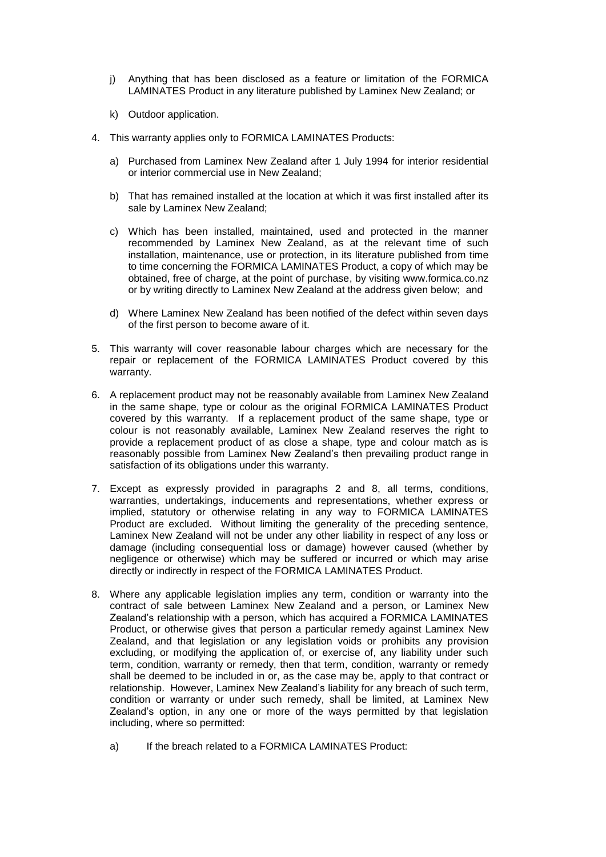- j) Anything that has been disclosed as a feature or limitation of the FORMICA LAMINATES Product in any literature published by Laminex New Zealand; or
- k) Outdoor application.
- 4. This warranty applies only to FORMICA LAMINATES Products:
	- a) Purchased from Laminex New Zealand after 1 July 1994 for interior residential or interior commercial use in New Zealand;
	- b) That has remained installed at the location at which it was first installed after its sale by Laminex New Zealand;
	- c) Which has been installed, maintained, used and protected in the manner recommended by Laminex New Zealand, as at the relevant time of such installation, maintenance, use or protection, in its literature published from time to time concerning the FORMICA LAMINATES Product, a copy of which may be obtained, free of charge, at the point of purchase, by visiting www.formica.co.nz or by writing directly to Laminex New Zealand at the address given below; and
	- d) Where Laminex New Zealand has been notified of the defect within seven days of the first person to become aware of it.
- 5. This warranty will cover reasonable labour charges which are necessary for the repair or replacement of the FORMICA LAMINATES Product covered by this warranty.
- 6. A replacement product may not be reasonably available from Laminex New Zealand in the same shape, type or colour as the original FORMICA LAMINATES Product covered by this warranty. If a replacement product of the same shape, type or colour is not reasonably available, Laminex New Zealand reserves the right to provide a replacement product of as close a shape, type and colour match as is reasonably possible from Laminex New Zealand's then prevailing product range in satisfaction of its obligations under this warranty.
- 7. Except as expressly provided in paragraphs 2 and 8, all terms, conditions, warranties, undertakings, inducements and representations, whether express or implied, statutory or otherwise relating in any way to FORMICA LAMINATES Product are excluded. Without limiting the generality of the preceding sentence, Laminex New Zealand will not be under any other liability in respect of any loss or damage (including consequential loss or damage) however caused (whether by negligence or otherwise) which may be suffered or incurred or which may arise directly or indirectly in respect of the FORMICA LAMINATES Product.
- 8. Where any applicable legislation implies any term, condition or warranty into the contract of sale between Laminex New Zealand and a person, or Laminex New Zealand's relationship with a person, which has acquired a FORMICA LAMINATES Product, or otherwise gives that person a particular remedy against Laminex New Zealand, and that legislation or any legislation voids or prohibits any provision excluding, or modifying the application of, or exercise of, any liability under such term, condition, warranty or remedy, then that term, condition, warranty or remedy shall be deemed to be included in or, as the case may be, apply to that contract or relationship. However, Laminex New Zealand's liability for any breach of such term, condition or warranty or under such remedy, shall be limited, at Laminex New Zealand's option, in any one or more of the ways permitted by that legislation including, where so permitted:
	- a) If the breach related to a FORMICA LAMINATES Product: